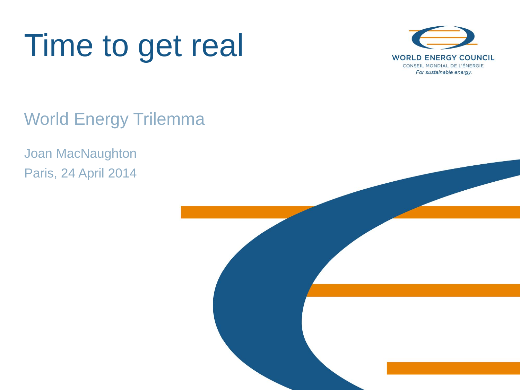



World Energy Trilemma

Joan MacNaughton Paris, 24 April 2014

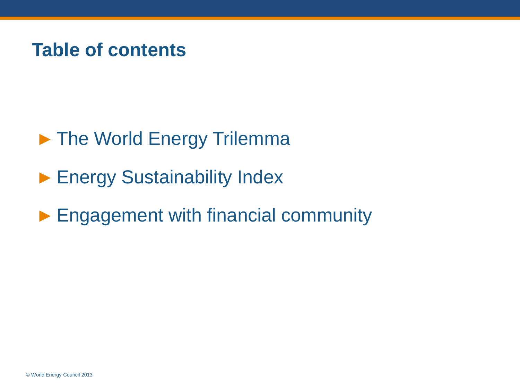## **Table of contents**

- ► The World Energy Trilemma
- ► Energy Sustainability Index
- ► Engagement with financial community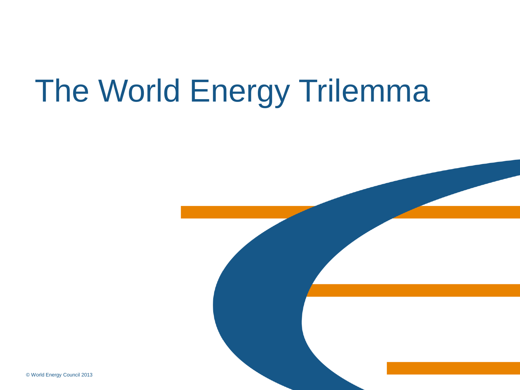# The World Energy Trilemma

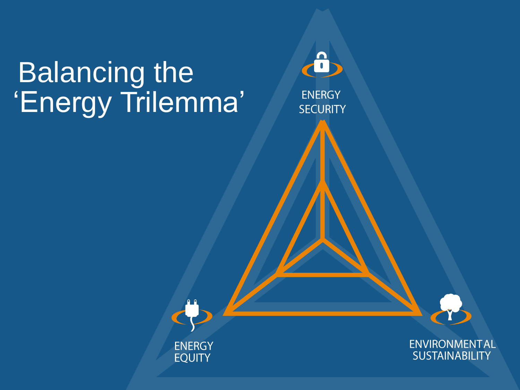# Balancing the 'Energy Trilemma'

**ENERGY EQUITY** 

**ENERGY SECURITY** 

 $\mathbf{a}$ 

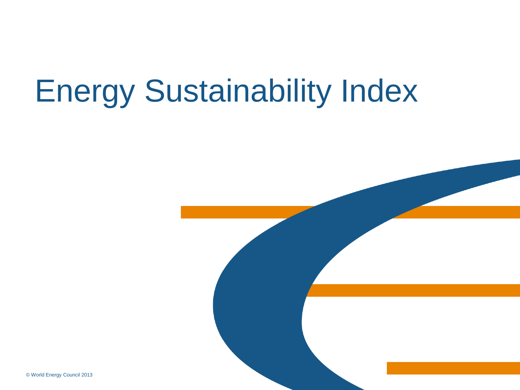# Energy Sustainability Index

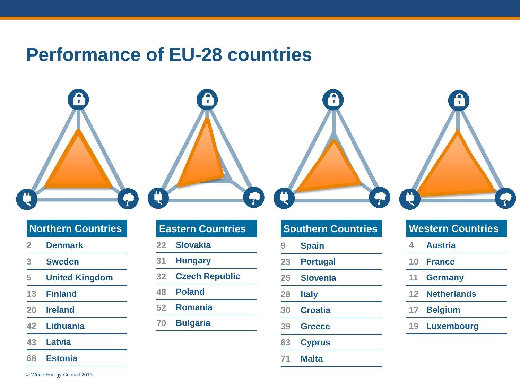## **Performance of EU-28 countries**

### $\mathbf{a}$  $\bullet$ ¢  $\blacktriangledown$  $\bullet$  $\ddot{\tau}$

### **Northern Countries**

- **Denmark**
- **Sweden**
- **United Kingdom**
- **Finland**
- **Ireland**
- **Lithuania**
- **Latvia**
- **Estonia**

© World Energy Council 2013

### **Eastern Countries**

- **Slovakia**
- **Hungary**
- **Czech Republic**
- **Poland**
- **Romania**
- **Bulgaria**

### **Southern Countries**

- **Spain**
- **Portugal**
- **Slovenia**
- **Italy**
- **Croatia**
- **Greece**
- **Cyprus**
- **Malta**

### **Western Countries**

- **Austria**
- **France**
- **Germany**
- **Netherlands**
- **Belgium**
- **Luxembourg**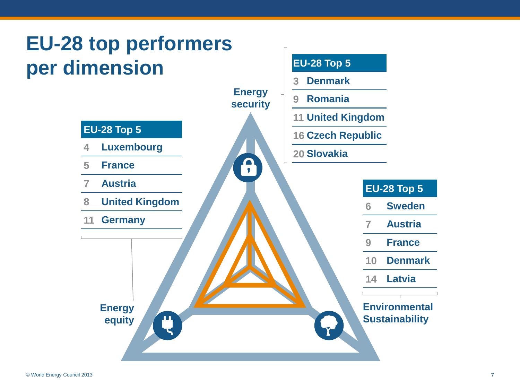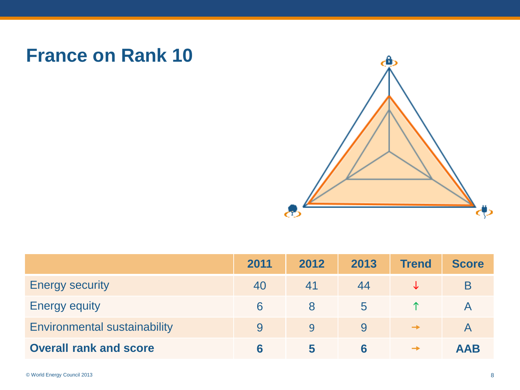## **France on Rank 10**



|                                     | 2011 | 2012 | 2013        | <b>Trend</b>  | <b>Score</b> |
|-------------------------------------|------|------|-------------|---------------|--------------|
| <b>Energy security</b>              | 40   |      | 44          |               | B            |
| <b>Energy equity</b>                | 6    | Χ    | $\mathbf b$ |               |              |
| <b>Environmental sustainability</b> |      | 9    | 9           | $\rightarrow$ |              |
| <b>Overall rank and score</b>       |      | C    |             | $\rightarrow$ | <b>AAB</b>   |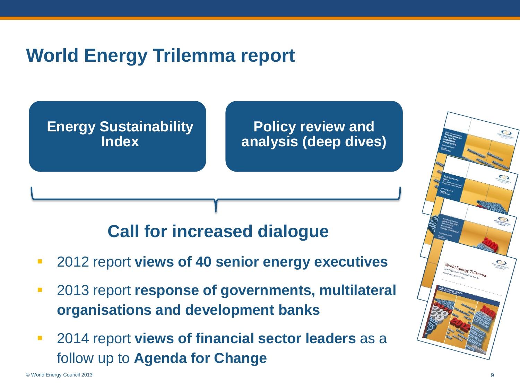## **World Energy Trilemma report**

**Energy Sustainability Index**

**Policy review and analysis (deep dives)**

## **Call for increased dialogue**

- 2012 report **views of 40 senior energy executives**
- 2013 report **response of governments, multilateral organisations and development banks**
- 2014 report **views of financial sector leaders** as a follow up to **Agenda for Change**

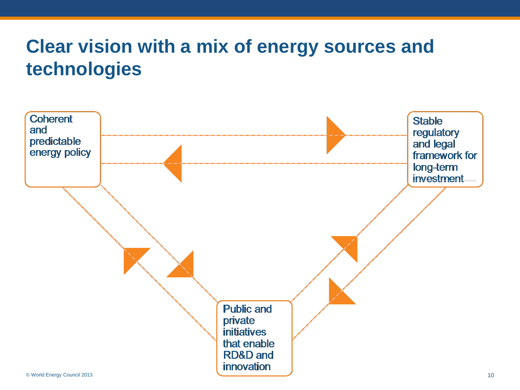## **Clear vision with a mix of energy sources and technologies**

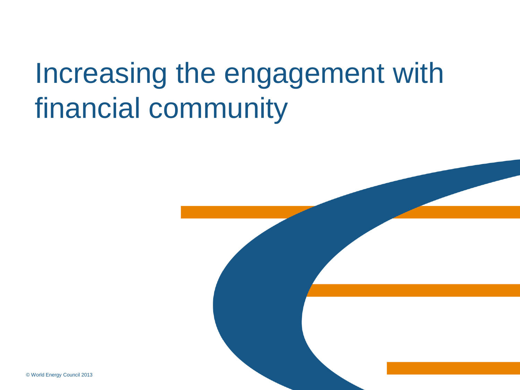# Increasing the engagement with financial community

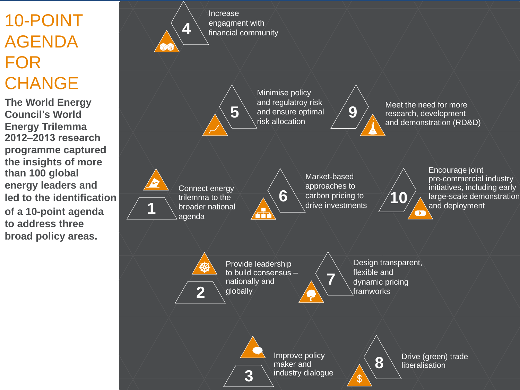## 10-POINT AGENDA FOR **CHANGE**

**The World Energy Council's World Energy Trilemma 2012–2013 research programme captured the insights of more than 100 global energy leaders and led to the identification of a 10-point agenda to address three broad policy areas.**



Increase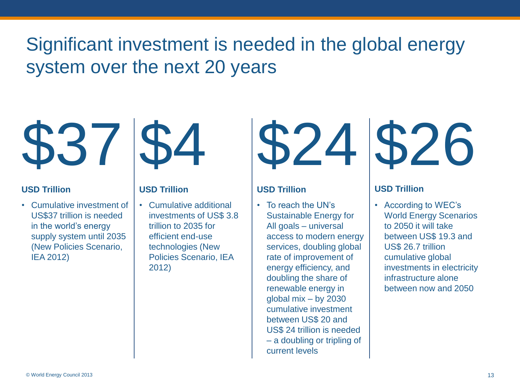## Significant investment is needed in the global energy system over the next 20 years



• Cumulative investment of US\$37 trillion is needed in the world's energy supply system until 2035 (New Policies Scenario, IEA 2012)



• Cumulative additional investments of US\$ 3.8 trillion to 2035 for efficient end-use technologies (New Policies Scenario, IEA 2012)



### **USD Trillion USD Trillion USD Trillion USD Trillion**

• To reach the UN's Sustainable Energy for All goals – universal access to modern energy services, doubling global rate of improvement of energy efficiency, and doubling the share of renewable energy in global mix – by 2030 cumulative investment between US\$ 20 and US\$ 24 trillion is needed – a doubling or tripling of current levels



• According to WEC's World Energy Scenarios to 2050 it will take between US\$ 19.3 and US\$ 26.7 trillion cumulative global investments in electricity infrastructure alone between now and 2050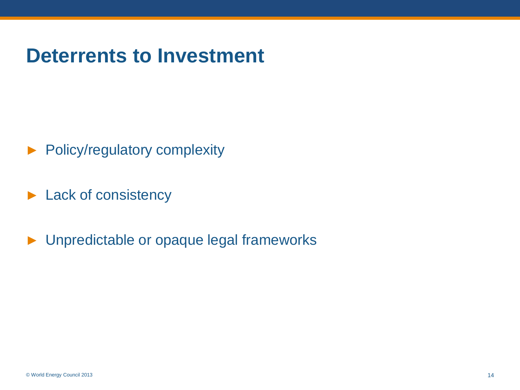## **Deterrents to Investment**

- ► Policy/regulatory complexity
- ► Lack of consistency
- ► Unpredictable or opaque legal frameworks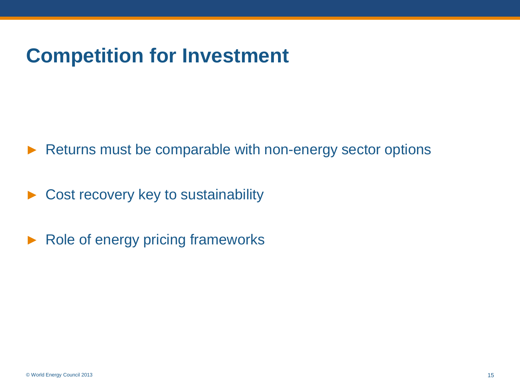## **Competition for Investment**

► Returns must be comparable with non-energy sector options

Cost recovery key to sustainability

► Role of energy pricing frameworks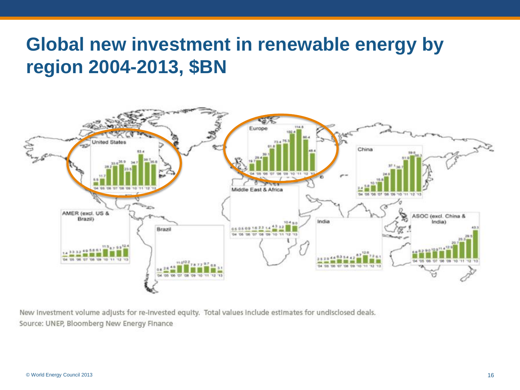## **Global new investment in renewable energy by region 2004-2013, \$BN**



New Investment volume adjusts for re-Invested equity. Total values include estimates for undisclosed deals. Source: UNEP, Bloomberg New Energy Finance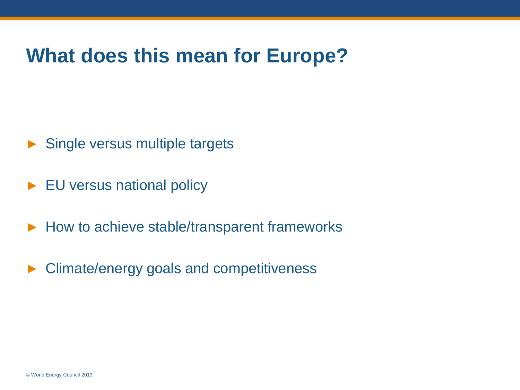## **What does this mean for Europe?**

- ► Single versus multiple targets
- ► EU versus national policy
- ► How to achieve stable/transparent frameworks
- ► Climate/energy goals and competitiveness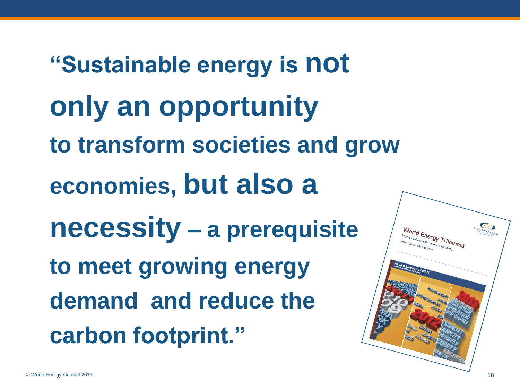**"Sustainable energy is not only an opportunity to transform societies and grow economies, but also a necessity – a prerequisite to meet growing energy demand and reduce the carbon footprint."**